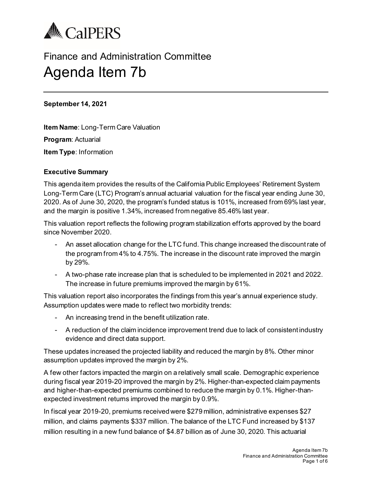

# Finance and Administration Committee Agenda Item 7b

#### **September 14, 2021**

**Item Name**: Long-Term Care Valuation **Program**: Actuarial **Item Type**: Information

## **Executive Summary**

This agenda item provides the results of the California Public Employees' Retirement System Long-Term Care (LTC) Program's annual actuarial valuation for the fiscal year ending June 30, 2020. As of June 30, 2020, the program's funded status is 101%, increased from 69% last year, and the margin is positive 1.34%, increased from negative 85.46% last year.

This valuation report reflects the following program stabilization efforts approved by the board since November 2020.

- An asset allocation change for the LTC fund. This change increased the discount rate of the program from 4% to 4.75%. The increase in the discount rate improved the margin by 29%.
- A two-phase rate increase plan that is scheduled to be implemented in 2021 and 2022. The increase in future premiums improved the margin by 61%.

This valuation report also incorporates the findings from this year's annual experience study. Assumption updates were made to reflect two morbidity trends:

- An increasing trend in the benefit utilization rate.
- A reduction of the claim incidence improvement trend due to lack of consistent industry evidence and direct data support.

These updates increased the projected liability and reduced the margin by 8%. Other minor assumption updates improved the margin by 2%.

A few other factors impacted the margin on a relatively small scale. Demographic experience during fiscal year 2019-20 improved the margin by 2%. Higher-than-expected claim payments and higher-than-expected premiums combined to reduce the margin by 0.1%. Higher-thanexpected investment returns improved the margin by 0.9%.

In fiscal year 2019-20, premiums received were \$279 million, administrative expenses \$27 million, and claims payments \$337 million. The balance of the LTC Fund increased by \$137 million resulting in a new fund balance of \$4.87 billion as of June 30, 2020. This actuarial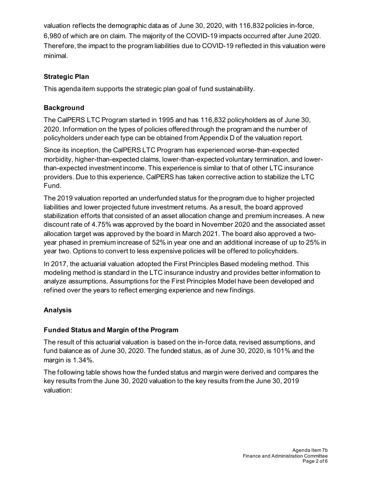valuation reflects the demographic data as of June 30, 2020, with 116,832 policies in-force, 6,980 of which are on claim. The majority of the COVID-19 impacts occurred after June 2020. Therefore, the impact to the program liabilities due to COVID-19 reflected in this valuation were minimal.

# **Strategic Plan**

This agenda item supports the strategic plan goal of fund sustainability.

# **Background**

The CalPERS LTC Program started in 1995 and has 116,832 policyholders as of June 30, 2020. Information on the types of policies offered through the program and the number of policyholders under each type can be obtained from Appendix D of the valuation report.

Since its inception, the CalPERS LTC Program has experienced worse-than-expected morbidity, higher-than-expected claims, lower-than-expected voluntary termination, and lowerthan-expected investment income. This experience is similar to that of other LTC insurance providers. Due to this experience, CalPERS has taken corrective action to stabilize the LTC Fund.

The 2019 valuation reported an underfunded status for the program due to higher projected liabilities and lower projected future investment returns. As a result, the board approved stabilization efforts that consisted of an asset allocation change and premium increases. A new discount rate of 4.75% was approved by the board in November 2020 and the associated asset allocation target was approved by the board in March 2021. The board also approved a twoyear phased in premium increase of 52% in year one and an additional increase of up to 25% in year two. Options to convert to less expensive policies will be offered to policyholders.

In 2017, the actuarial valuation adopted the First Principles Based modeling method. This modeling method is standard in the LTC insurance industry and provides better information to analyze assumptions. Assumptions for the First Principles Model have been developed and refined over the years to reflect emerging experience and new findings.

# **Analysis**

## **Funded Status and Margin of the Program**

The result of this actuarial valuation is based on the in-force data, revised assumptions, and fund balance as of June 30, 2020. The funded status, as of June 30, 2020, is 101% and the margin is 1.34%.

The following table shows how the funded status and margin were derived and compares the key results from the June 30, 2020 valuation to the key results from the June 30, 2019 valuation: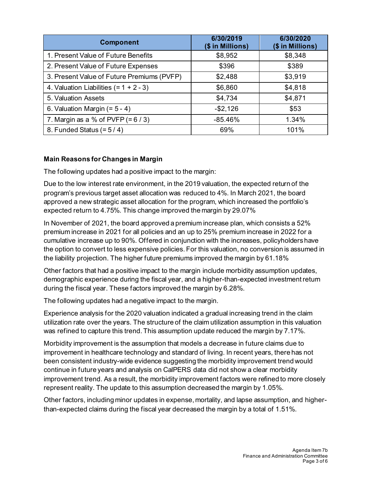| <b>Component</b>                           | 6/30/2019<br>(\$ in Millions) | 6/30/2020<br>(\$ in Millions) |
|--------------------------------------------|-------------------------------|-------------------------------|
| 1. Present Value of Future Benefits        | \$8,952                       | \$8,348                       |
| 2. Present Value of Future Expenses        | \$396                         | \$389                         |
| 3. Present Value of Future Premiums (PVFP) | \$2,488                       | \$3,919                       |
| 4. Valuation Liabilities $(= 1 + 2 - 3)$   | \$6,860                       | \$4,818                       |
| 5. Valuation Assets                        | \$4,734                       | \$4,871                       |
| 6. Valuation Margin $(= 5 - 4)$            | $- $2,126$                    | \$53                          |
| 7. Margin as a % of PVFP $(= 6 / 3)$       | $-85.46%$                     | 1.34%                         |
| 8. Funded Status $(= 5/4)$                 | 69%                           | 101%                          |

# **Main Reasons for Changes in Margin**

The following updates had a positive impact to the margin:

Due to the low interest rate environment, in the 2019 valuation, the expected return of the program's previous target asset allocation was reduced to 4%. In March 2021, the board approved a new strategic asset allocation for the program, which increased the portfolio's expected return to 4.75%. This change improved the margin by 29.07%

In November of 2021, the board approved a premium increase plan, which consists a 52% premium increase in 2021 for all policies and an up to 25% premium increase in 2022 for a cumulative increase up to 90%. Offered in conjunction with the increases, policyholders have the option to convert to less expensive policies. For this valuation, no conversion is assumed in the liability projection. The higher future premiums improved the margin by 61.18%

Other factors that had a positive impact to the margin include morbidity assumption updates, demographic experience during the fiscal year, and a higher-than-expected investment return during the fiscal year. These factors improved the margin by 6.28%.

The following updates had a negative impact to the margin.

Experience analysis for the 2020 valuation indicated a gradual increasing trend in the claim utilization rate over the years. The structure of the claim utilization assumption in this valuation was refined to capture this trend. This assumption update reduced the margin by 7.17%.

Morbidity improvement is the assumption that models a decrease in future claims due to improvement in healthcare technology and standard of living. In recent years, there has not been consistent industry-wide evidence suggesting the morbidity improvement trend would continue in future years and analysis on CalPERS data did not show a clear morbidity improvement trend. As a result, the morbidity improvement factors were refined to more closely represent reality. The update to this assumption decreased the margin by 1.05%.

Other factors, including minor updates in expense, mortality, and lapse assumption, and higherthan-expected claims during the fiscal year decreased the margin by a total of 1.51%.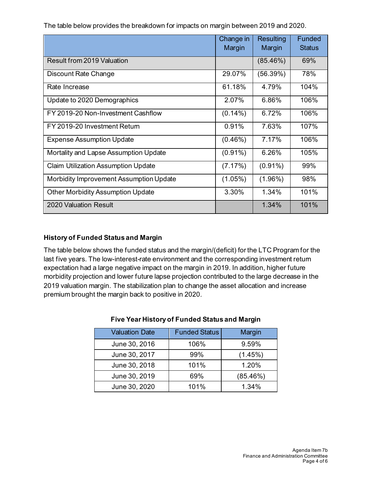The table below provides the breakdown for impacts on margin between 2019 and 2020.

|                                            | Change in<br>Margin | Resulting<br>Margin | <b>Funded</b><br><b>Status</b> |
|--------------------------------------------|---------------------|---------------------|--------------------------------|
| Result from 2019 Valuation                 |                     | (85.46%)            | 69%                            |
| Discount Rate Change                       | 29.07%              | (56.39%)            | 78%                            |
| Rate Increase                              | 61.18%              | 4.79%               | 104%                           |
| Update to 2020 Demographics                | 2.07%               | 6.86%               | 106%                           |
| FY 2019-20 Non-Investment Cashflow         | $(0.14\%)$          | 6.72%               | 106%                           |
| FY 2019-20 Investment Return               | 0.91%               | 7.63%               | 107%                           |
| <b>Expense Assumption Update</b>           | $(0.46\%)$          | 7.17%               | 106%                           |
| Mortality and Lapse Assumption Update      | $(0.91\%)$          | 6.26%               | 105%                           |
| <b>Claim Utilization Assumption Update</b> | (7.17%)             | $(0.91\%)$          | 99%                            |
| Morbidity Improvement Assumption Update    | $(1.05\%)$          | $(1.96\%)$          | 98%                            |
| <b>Other Morbidity Assumption Update</b>   | 3.30%               | 1.34%               | 101%                           |
| 2020 Valuation Result                      |                     | 1.34%               | 101%                           |

# **History of Funded Status and Margin**

The table below shows the funded status and the margin/(deficit) for the LTC Program for the last five years. The low-interest-rate environment and the corresponding investment return expectation had a large negative impact on the margin in 2019. In addition, higher future morbidity projection and lower future lapse projection contributed to the large decrease in the 2019 valuation margin. The stabilization plan to change the asset allocation and increase premium brought the margin back to positive in 2020.

| <b>Valuation Date</b> | <b>Funded Status</b> | Margin   |
|-----------------------|----------------------|----------|
| June 30, 2016         | 106%                 | 9.59%    |
| June 30, 2017         | 99%                  | (1.45%)  |
| June 30, 2018         | 101%                 | 1.20%    |
| June 30, 2019         | 69%                  | (85.46%) |
| June 30, 2020         | 101%                 | 1.34%    |

#### **Five Year History of Funded Status and Margin**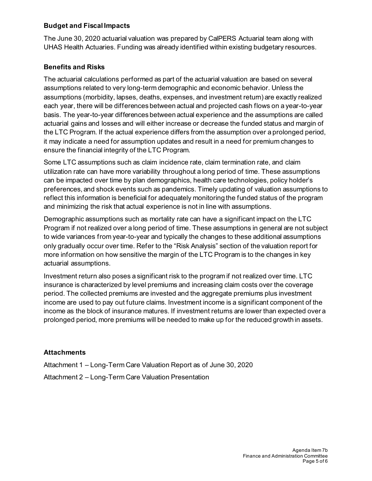#### **Budget and Fiscal Impacts**

The June 30, 2020 actuarial valuation was prepared by CalPERS Actuarial team along with UHAS Health Actuaries. Funding was already identified within existing budgetary resources.

#### **Benefits and Risks**

The actuarial calculations performed as part of the actuarial valuation are based on several assumptions related to very long-term demographic and economic behavior. Unless the assumptions (morbidity, lapses, deaths, expenses, and investment return) are exactly realized each year, there will be differences between actual and projected cash flows on a year-to-year basis. The year-to-year differences between actual experience and the assumptions are called actuarial gains and losses and will either increase or decrease the funded status and margin of the LTC Program. If the actual experience differs from the assumption over a prolonged period, it may indicate a need for assumption updates and result in a need for premium changes to ensure the financial integrity of the LTC Program.

Some LTC assumptions such as claim incidence rate, claim termination rate, and claim utilization rate can have more variability throughout a long period of time. These assumptions can be impacted over time by plan demographics, health care technologies, policy holder's preferences, and shock events such as pandemics. Timely updating of valuation assumptions to reflect this information is beneficial for adequately monitoring the funded status of the program and minimizing the risk that actual experience is not in line with assumptions.

Demographic assumptions such as mortality rate can have a significant impact on the LTC Program if not realized over a long period of time. These assumptions in general are not subject to wide variances from year-to-year and typically the changes to these additional assumptions only gradually occur over time. Refer to the "Risk Analysis" section of the valuation report for more information on how sensitive the margin of the LTC Program is to the changes in key actuarial assumptions.

Investment return also poses a significant risk to the program if not realized over time. LTC insurance is characterized by level premiums and increasing claim costs over the coverage period. The collected premiums are invested and the aggregate premiums plus investment income are used to pay out future claims. Investment income is a significant component of the income as the block of insurance matures. If investment returns are lower than expected over a prolonged period, more premiums will be needed to make up for the reduced growth in assets.

## **Attachments**

Attachment 1 – Long-Term Care Valuation Report as of June 30, 2020 Attachment 2 – Long-Term Care Valuation Presentation